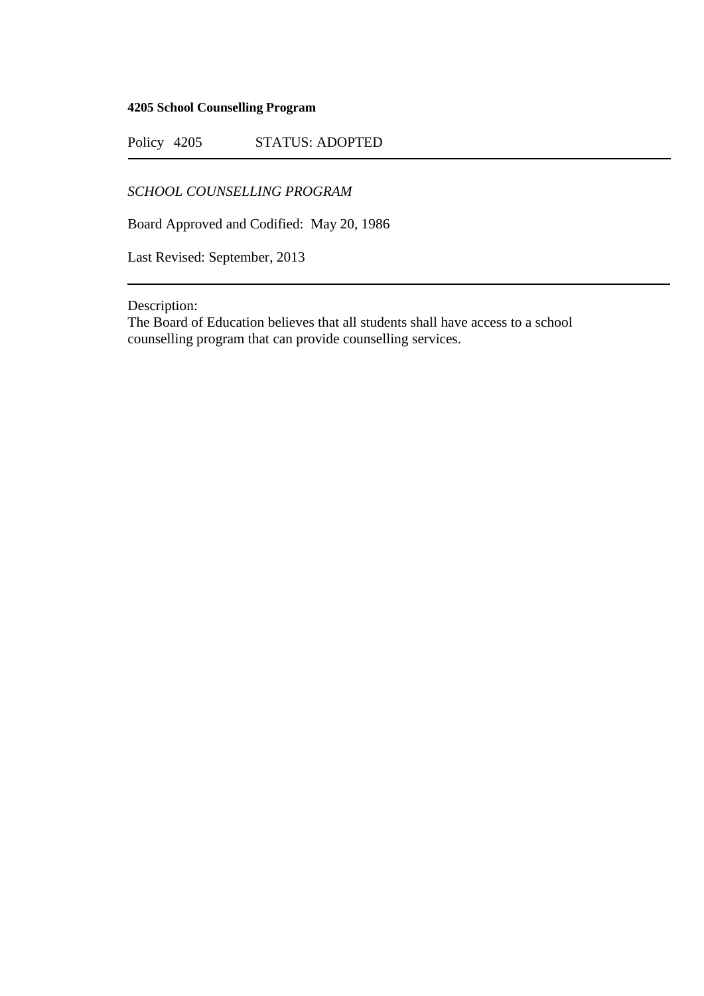## **4205 School Counselling Program**

Policy 4205 STATUS: ADOPTED

*SCHOOL COUNSELLING PROGRAM*

Board Approved and Codified: May 20, 1986

Last Revised: September, 2013

Description:

The Board of Education believes that all students shall have access to a school counselling program that can provide counselling services.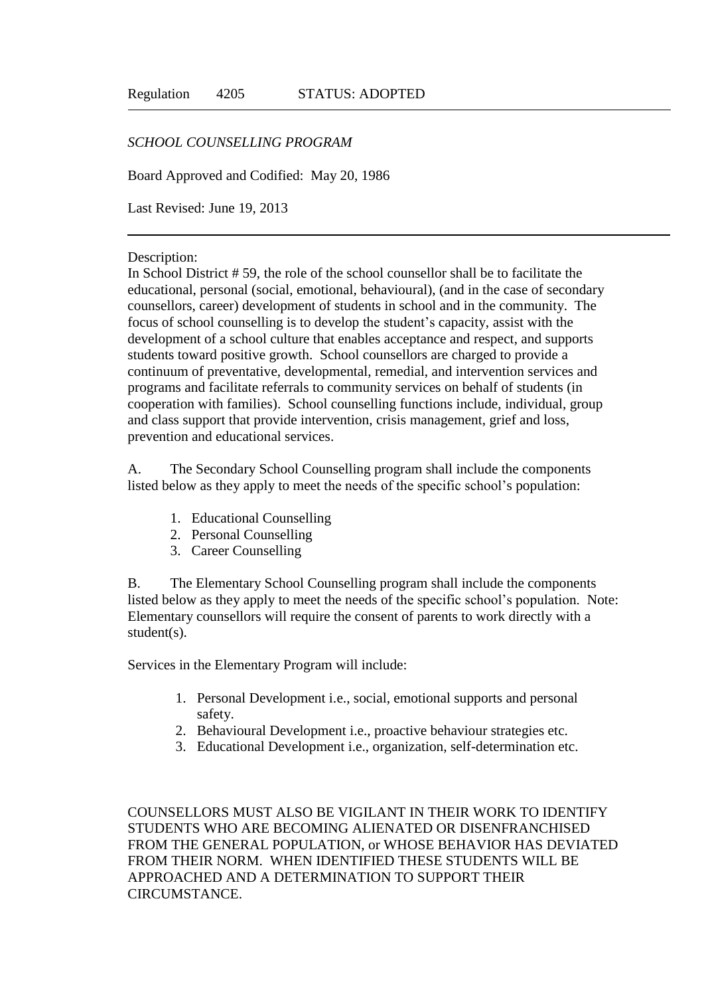## *SCHOOL COUNSELLING PROGRAM*

Board Approved and Codified: May 20, 1986

Last Revised: June 19, 2013

## Description:

In School District # 59, the role of the school counsellor shall be to facilitate the educational, personal (social, emotional, behavioural), (and in the case of secondary counsellors, career) development of students in school and in the community. The focus of school counselling is to develop the student's capacity, assist with the development of a school culture that enables acceptance and respect, and supports students toward positive growth. School counsellors are charged to provide a continuum of preventative, developmental, remedial, and intervention services and programs and facilitate referrals to community services on behalf of students (in cooperation with families). School counselling functions include, individual, group and class support that provide intervention, crisis management, grief and loss, prevention and educational services.

A. The Secondary School Counselling program shall include the components listed below as they apply to meet the needs of the specific school's population:

- 1. Educational Counselling
- 2. Personal Counselling
- 3. Career Counselling

B. The Elementary School Counselling program shall include the components listed below as they apply to meet the needs of the specific school's population. Note: Elementary counsellors will require the consent of parents to work directly with a student(s).

Services in the Elementary Program will include:

- 1. Personal Development i.e., social, emotional supports and personal safety.
- 2. Behavioural Development i.e., proactive behaviour strategies etc.
- 3. Educational Development i.e., organization, self-determination etc.

COUNSELLORS MUST ALSO BE VIGILANT IN THEIR WORK TO IDENTIFY STUDENTS WHO ARE BECOMING ALIENATED OR DISENFRANCHISED FROM THE GENERAL POPULATION, or WHOSE BEHAVIOR HAS DEVIATED FROM THEIR NORM. WHEN IDENTIFIED THESE STUDENTS WILL BE APPROACHED AND A DETERMINATION TO SUPPORT THEIR CIRCUMSTANCE.